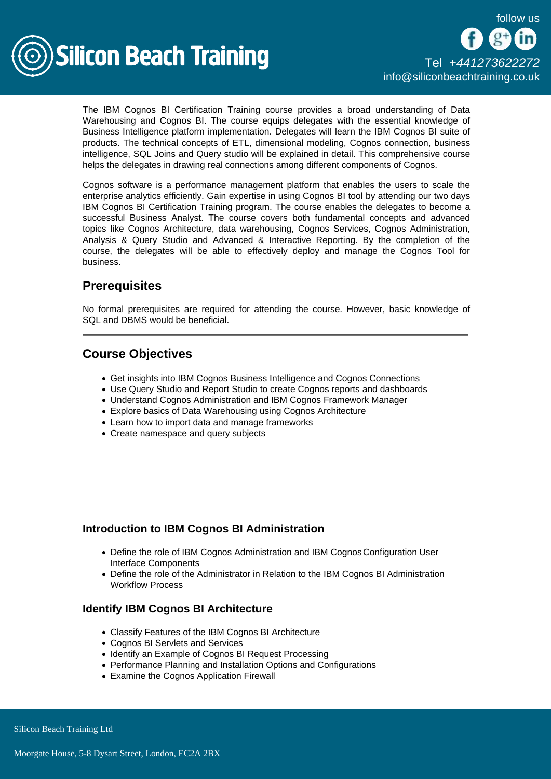

The IBM Cognos BI Certification Training course provides a broad understanding of Data Warehousing and Cognos BI. The course equips delegates with the essential knowledge of Business Intelligence platform implementation. Delegates will learn the IBM Cognos BI suite of products. The technical concepts of ETL, dimensional modeling, Cognos connection, business intelligence, SQL Joins and Query studio will be explained in detail. This comprehensive course helps the delegates in drawing real connections among different components of Cognos.

Cognos software is a performance management platform that enables the users to scale the enterprise analytics efficiently. Gain expertise in using Cognos BI tool by attending our two days IBM Cognos BI Certification Training program. The course enables the delegates to become a successful Business Analyst. The course covers both fundamental concepts and advanced topics like Cognos Architecture, data warehousing, Cognos Services, Cognos Administration, Analysis & Query Studio and Advanced & Interactive Reporting. By the completion of the course, the delegates will be able to effectively deploy and manage the Cognos Tool for business.

# **Prerequisites**

No formal prerequisites are required for attending the course. However, basic knowledge of SQL and DBMS would be beneficial.

# Course Objectives

- Get insights into IBM Cognos Business Intelligence and Cognos Connections
- Use Query Studio and Report Studio to create Cognos reports and dashboards
- Understand Cognos Administration and IBM Cognos Framework Manager
- Explore basics of Data Warehousing using Cognos Architecture
- Learn how to import data and manage frameworks
- Create namespace and query subjects

## Introduction to IBM Cognos BI Administration

- Define the role of IBM Cognos Administration and IBM Cognos Configuration User Interface Components
- Define the role of the Administrator in Relation to the IBM Cognos BI Administration Workflow Process

## Identify IBM Cognos BI Architecture

- Classify Features of the IBM Cognos BI Architecture
- Cognos BI Servlets and Services
- Identify an Example of Cognos BI Request Processing
- Performance Planning and Installation Options and Configurations
- Examine the Cognos Application Firewall

Silicon Beach Training Ltd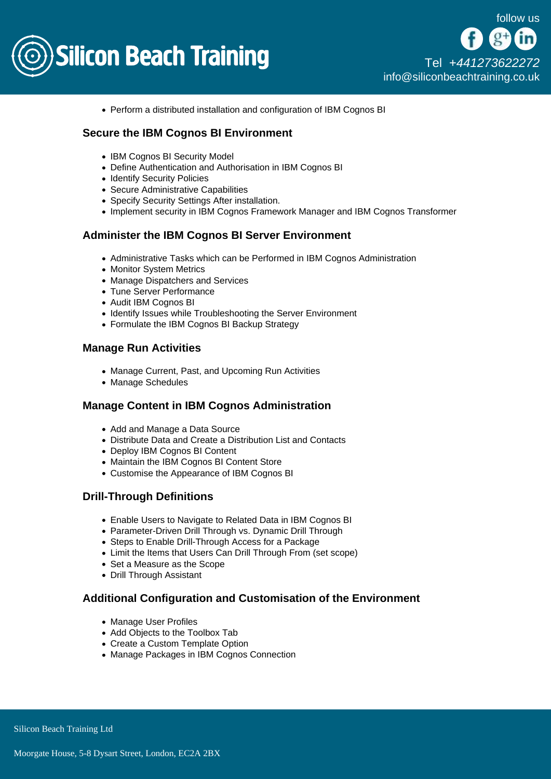

Perform a distributed installation and configuration of IBM Cognos BI

# Secure the IBM Cognos BI Environment

- IBM Cognos BI Security Model
- Define Authentication and Authorisation in IBM Cognos BI
- Identify Security Policies
- Secure Administrative Capabilities
- Specify Security Settings After installation.
- Implement security in IBM Cognos Framework Manager and IBM Cognos Transformer

#### Administer the IBM Cognos BI Server Environment

- Administrative Tasks which can be Performed in IBM Cognos Administration
- Monitor System Metrics
- Manage Dispatchers and Services
- Tune Server Performance
- Audit IBM Cognos BI
- Identify Issues while Troubleshooting the Server Environment
- Formulate the IBM Cognos BI Backup Strategy

#### Manage Run Activities

- Manage Current, Past, and Upcoming Run Activities
- Manage Schedules

#### Manage Content in IBM Cognos Administration

- Add and Manage a Data Source
- Distribute Data and Create a Distribution List and Contacts
- Deploy IBM Cognos BI Content
- Maintain the IBM Cognos BI Content Store
- Customise the Appearance of IBM Cognos BI

## Drill-Through Definitions

- Enable Users to Navigate to Related Data in IBM Cognos BI
- Parameter-Driven Drill Through vs. Dynamic Drill Through
- Steps to Enable Drill-Through Access for a Package
- Limit the Items that Users Can Drill Through From (set scope)
- Set a Measure as the Scope
- Drill Through Assistant

## Additional Configuration and Customisation of the Environment

- Manage User Profiles
- Add Objects to the Toolbox Tab
- Create a Custom Template Option
- Manage Packages in IBM Cognos Connection

Silicon Beach Training Ltd